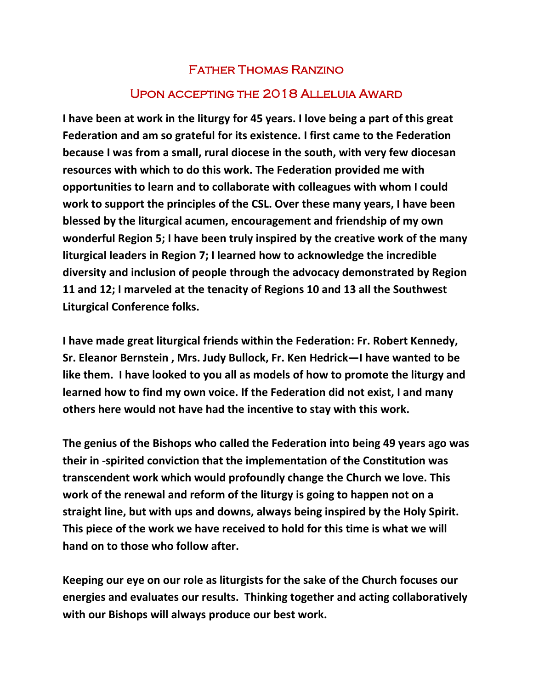## Father Thomas Ranzino

## Upon accepting the 2018 Alleluia Award

**I have been at work in the liturgy for 45 years. I love being a part of this great Federation and am so grateful for its existence. I first came to the Federation because I was from a small, rural diocese in the south, with very few diocesan resources with which to do this work. The Federation provided me with opportunities to learn and to collaborate with colleagues with whom I could work to support the principles of the CSL. Over these many years, I have been blessed by the liturgical acumen, encouragement and friendship of my own wonderful Region 5; I have been truly inspired by the creative work of the many liturgical leaders in Region 7; I learned how to acknowledge the incredible diversity and inclusion of people through the advocacy demonstrated by Region 11 and 12; I marveled at the tenacity of Regions 10 and 13 all the Southwest Liturgical Conference folks.** 

**I have made great liturgical friends within the Federation: Fr. Robert Kennedy, Sr. Eleanor Bernstein , Mrs. Judy Bullock, Fr. Ken Hedrick—I have wanted to be like them. I have looked to you all as models of how to promote the liturgy and learned how to find my own voice. If the Federation did not exist, I and many others here would not have had the incentive to stay with this work.** 

**The genius of the Bishops who called the Federation into being 49 years ago was their in -spirited conviction that the implementation of the Constitution was transcendent work which would profoundly change the Church we love. This work of the renewal and reform of the liturgy is going to happen not on a straight line, but with ups and downs, always being inspired by the Holy Spirit. This piece of the work we have received to hold for this time is what we will hand on to those who follow after.** 

**Keeping our eye on our role as liturgists for the sake of the Church focuses our energies and evaluates our results. Thinking together and acting collaboratively with our Bishops will always produce our best work.**